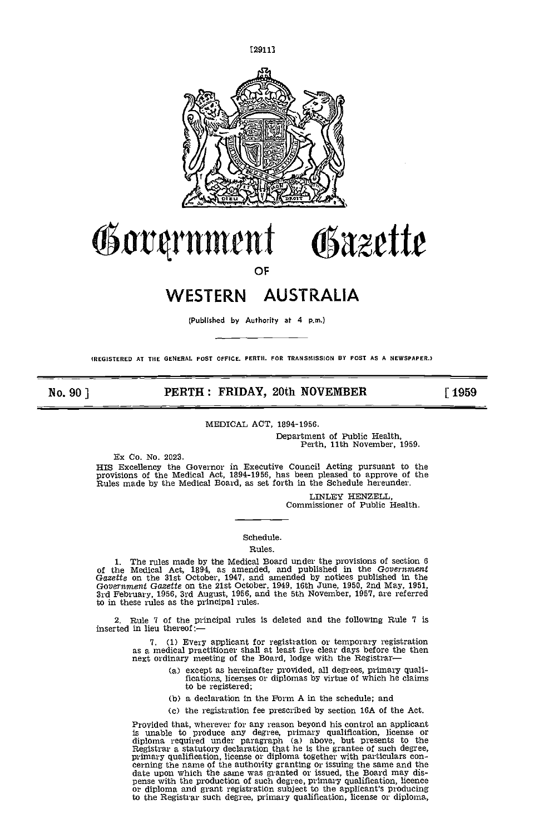

# Governmen Osazette

OF

# WESTERN AUSTRALIA

(Published by Authority at 4 p.m.)

(REGISTERED AT THE GENERAL POST OFFICE. PERTH. FOR TRANSMISSION BY POST AS A NEWSPAPER.I

### No. 90] **PERTH: FRIDAY, 20th NOVEMBER** [1959]

### MEDICAL ACT, 1894-1956.

Department of Public Health, Perth, 11th November, 1959.

Ex Co. No. 2023.

HIS Excellency the Governor in Executive Council Acting pursuant to the provisions of the Medical Act, 1894-1956, has been pleased to approve of the Rules made by the Medical Board, as set forth in the Schedule hereunder.

LINLEY HENZELL, Commissioner of Public Health.

### Schedule.

### Rules.

1. The rules made by the Medical Board under the provisions of section 6 of the Medical Act, 1894, as amended, and published in the Government Gazette on the 31st October, 1947, and amended by notices published in the Gove to in these rules as the principal rules.

Rule 7 of the principal rules is deleted and the following Rule 7 is inserted in lieu thereof:-

> 7. (1) Every applicant for registration or temporary registration as a medical practitioner shall at least five clear days before the then next ordinary meeting of the Board, lodge with the Registrar

- (a) except as hereinafter provided, all degrees, primary qualifications, licenses or diplomas by virtue of which he claims to be registered;
- (b) a declaration in the Form A in the schedule; and
- (c) the registration fee prescribed by section 16A of the Act.

Provided that, wherever for any reason beyond his control an applicant<br>is unable to produce any degree, primary qualification, license or<br>diploma required under paragraph (a) above, but presents to the<br>Registrar a statuto primary qualification, it centers or diplomation, it certains the name of the authority granting or issuing the same and the date upon which the same was granted or issued, the Board may dispense with the production of suc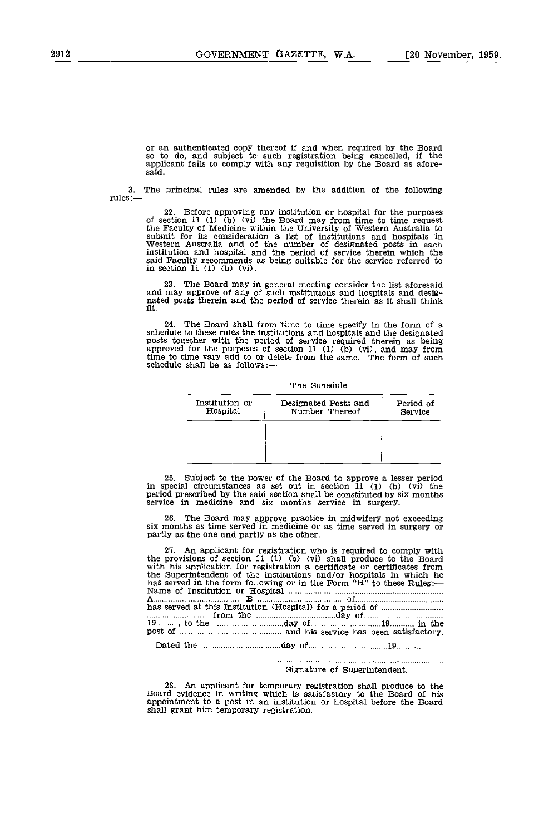or an authenticated copy thereof if and when required by the Board so to do, and subject to such registration being cancelled, If the applicant fails to comply with any requisition by the Board as afore-<br>said.

3. The principal rules are amended by the addition of the following rules: $\ldots$ 

22. Before approving any institution or hospital for the purposes of section 11 (1) (b) (vi) the Board may from time to time request the Faculty of Medicine within the University of Western Australia to submit for its consideration a list of institutions and hospitals In Western Australia and of the number of designated posts in each institution and hospital and the period of service therein which the said Faculty recommends as being suitable for the service referred to in section 11 (1) (b) (vi).

The Board may in general meeting consider the list aforesaid and may approve of any of such institutions and hospitals and desig- nated posts therein and the period of service therein as it shall think fit.

24. The Board shall from time to time specify in the form of a schedule to these rules the institutions and hospitals and the designated schedule to these rules the institutions and hospitals and the designated posts together with the period of service required therein as being approved for the purposes of section 11 (1) (b) (vi), and may from time to time vary add to or delete from the same. The form of such schedule shall be as follows:-

#### The Schedule

| Institution or<br>Hospital | Designated Posts and<br>Number Thereof | Period of<br>Service |
|----------------------------|----------------------------------------|----------------------|
|                            |                                        |                      |
|                            |                                        |                      |

subject to the power of the Board to approve a lesser period in special circumstances as set out in section 11 (1) (b) (vi) the period prescribed by the said section shall be constituted by six months service in medicine and six months service in surgery.

The Board may approve practice in midwifery not exceeding six months as time served in medicine or as time served in surgery or partly as the one and partly as the other.

An applicant for registration who is required to comply with the provisions of section 11 (1) (b) (vi) shall produce to the Board with his application for registration a certificate or certificates from the Superintendent of the institutions and/or hospitals in which he has served in the form following or in the Form "H" to these Rules: Name of Institution or Hospital  $\frac{B_{\text{min}}}{B_{\text{min}}}\frac{B_{\text{min}}}{B_{\text{min}}}\frac{B_{\text{min}}}{B_{\text{$ has served at this Institution (Hospital) for a period of *macuum* from the day of 19 *hamma*, to the maximum day of 19 *hamma*, in the post of manufactory.

Dated the day of 19

## Signature of Superintendent.

28. An applicant for temporary registration shall produce to the Board evidence in writing which is satisfactory to the Board of his appointment to a post in an institution or hospital before the Board shall grant him temp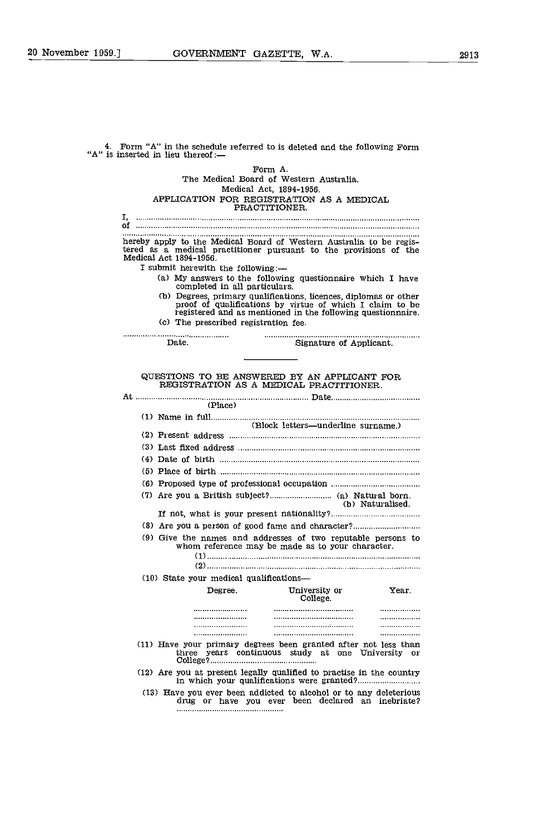|                                         |                               | Form A.                                                                                                                                                                                     |                  |
|-----------------------------------------|-------------------------------|---------------------------------------------------------------------------------------------------------------------------------------------------------------------------------------------|------------------|
|                                         |                               | The Medical Board of Western Australia.                                                                                                                                                     |                  |
|                                         |                               | Medical Act, 1894-1956.                                                                                                                                                                     |                  |
|                                         |                               | APPLICATION FOR REGISTRATION AS A MEDICAL<br>PRACTITIONER.                                                                                                                                  |                  |
|                                         |                               |                                                                                                                                                                                             |                  |
|                                         |                               |                                                                                                                                                                                             |                  |
| Medical Act 1894-1956.                  |                               | hereby apply to the Medical Board of Western Australia to be regis-<br>tered as a medical practitioner pursuant to the provisions of the                                                    |                  |
| I submit herewith the following:-       |                               |                                                                                                                                                                                             |                  |
|                                         | completed in all particulars. | (a) My answers to the following questionnaire which I have                                                                                                                                  |                  |
| (c) The prescribed registration fee.    |                               | (b) Degrees, primary qualifications, licences, diplomas or other<br>proof of qualifications by virtue of which I claim to be<br>registered and as mentioned in the following questionnaire. |                  |
| Date.                                   |                               | Signature of Applicant.                                                                                                                                                                     |                  |
|                                         |                               |                                                                                                                                                                                             |                  |
|                                         |                               | QUESTIONS TO BE ANSWERED BY AN APPLICANT FOR<br>REGISTRATION AS A MEDICAL PRACTITIONER.                                                                                                     |                  |
|                                         | (Place)                       |                                                                                                                                                                                             |                  |
|                                         |                               |                                                                                                                                                                                             |                  |
|                                         |                               | (Block letters—underline surname.)                                                                                                                                                          |                  |
|                                         |                               |                                                                                                                                                                                             |                  |
|                                         |                               |                                                                                                                                                                                             |                  |
|                                         |                               |                                                                                                                                                                                             |                  |
|                                         |                               |                                                                                                                                                                                             |                  |
|                                         |                               |                                                                                                                                                                                             |                  |
|                                         |                               |                                                                                                                                                                                             | (b) Naturalised. |
|                                         |                               |                                                                                                                                                                                             |                  |
|                                         |                               |                                                                                                                                                                                             |                  |
|                                         |                               | (9) Give the names and addresses of two reputable persons to<br>whom reference may be made as to your character.                                                                            |                  |
|                                         |                               |                                                                                                                                                                                             |                  |
| (10) State your medical qualifications— |                               |                                                                                                                                                                                             |                  |
|                                         | $_{\rm{Degree}}$              | University or<br>College.                                                                                                                                                                   | Year.            |
|                                         |                               |                                                                                                                                                                                             | . . <i>. .</i> . |
|                                         | <br>                          |                                                                                                                                                                                             | <br>             |
|                                         |                               |                                                                                                                                                                                             |                  |
|                                         |                               | (11) Have your primary degrees been granted after not less than<br>three years continuous study at one University or                                                                        |                  |
|                                         |                               | (12) Are you at present legally qualified to practise in the country                                                                                                                        |                  |
|                                         |                               | (13) Have you ever been addicted to alcohol or to any deleterious<br>drug or have you ever been declared an inebriate?                                                                      |                  |
|                                         |                               |                                                                                                                                                                                             |                  |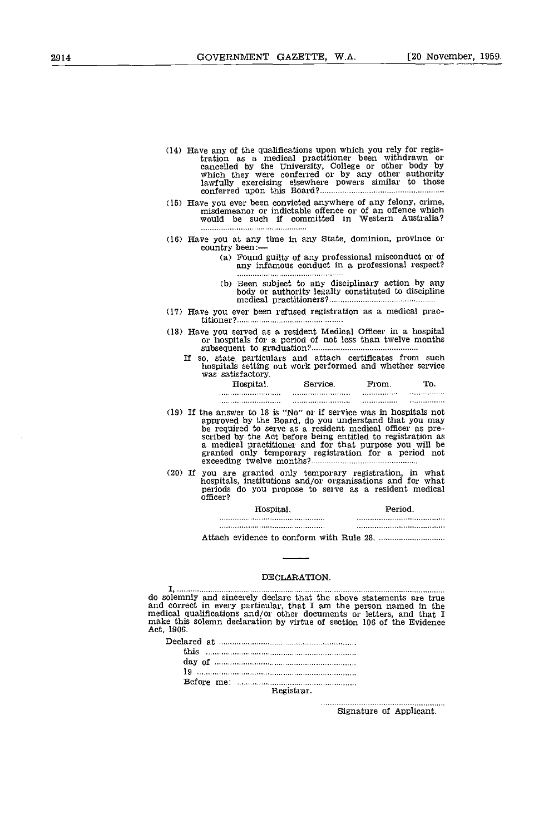- (14) Have any of the qualifications upon which you rely for registration as a medical practitioner been withdrawn or cancelled by the University, College or other body by which they were conferred or by any other authority lawfully exercising elsewhere powers similar to those conferred upon this Board?................
- Have you ever been convicted anywhere of any felony, crime, misdemeanor or indictable offence or of an offence which would be such if committed in Western Australia?
- 
- (16) Have you at any time in any State, dominion, province or country been: —<br>
(a) Found guilty of any professional misconduct or of any infamous conduct in a professional respect?<br>
(a) infamous conduct in a professional r
	- Been subject to any disciplinary action by any body or a.uthority legally constituted to discipline medical practitioners9
- Have you ever been refused registration as a medical practitioner9
- Have you served as a resident Medical Officer in a hospital or hospitals for a period of not less than twelve months subsequent to graduation?....................
	- If so, state particulars and attach certificates from such hospitals setting out work performed and whether service was satisfactory.

| Hospital, | Service. | From           | To.        |  |
|-----------|----------|----------------|------------|--|
|           |          | . <b>. . .</b> |            |  |
|           |          |                | . <i>.</i> |  |

- If the answer to 18 is "No" or if service was in hospitals not approved by the Board, do you understand that you may be required to serve as a resident medical officer as pre-<br>scribed by the Act before being entitled to registration as<br>a medical practitioner and for that purpose you will be<br>granted only temporary registration for a perio
- If you are granted only temporary registration, in what hospitals, institutions and/or organisations and for what periods do you propose to serve as a resident medical officer?

| Hospital. | Period |  |  |  |  |
|-----------|--------|--|--|--|--|
|           |        |  |  |  |  |
|           |        |  |  |  |  |

Attach evidence to conform with Rule 28.

### DECLARATION.

I, do solemnly and sincerely declare that the above statements are true<br>and correct in every particular, that I am the person named in the<br>medical qualifications and/or other documents or letters, and that I<br>make this solemn

| this was all and the communication of the communication of the communication of the communication of the communication of the communication of the communication of the communication of the communication of the communicatio |
|--------------------------------------------------------------------------------------------------------------------------------------------------------------------------------------------------------------------------------|
|                                                                                                                                                                                                                                |
|                                                                                                                                                                                                                                |
|                                                                                                                                                                                                                                |
| Registrar.                                                                                                                                                                                                                     |

Signature of Applicant.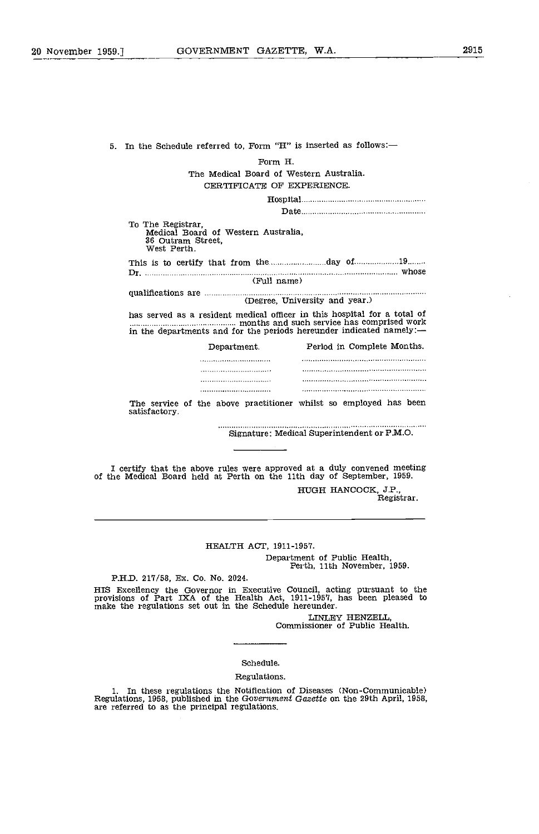5. In the Schedule referred to, Form "H" is inserted as follows: Form H. The Medical Board of Western Australia. CERTIFICATE OF EXPERIENCE. Hospital Date To The Registrar, Medical Board of Western Australia, 36 Outram Street, West Perth. This is to certify that from the day of <sup>19</sup> Dr. whose (Full name) qualifications are (Degree, University and year.) has served as a resident medical officer in this hospital for a total of monomonomonomonium months and such service has comprised work in the departments and for the periods hereunder indicated namely: Department. Period in Complete Months. ............................ The service of the above practitioner whilst so employed has been satisfactory. Signature: Medical Superintendent or P.M.O. I certify that the above rules were approved at a duly convened meeting of the Medical Board held at Perth on the 11th day of September, 1959. HUGH HANCOCK, J.P., Registrar.

### HEALTH ACT, 1911-1957.

Department of Public Health, Perth, 11th November, 1959.

P.H.D. 217/58, Ex. Co. No. 2024.

HIS Excellency the Governor in Executive Council, acting pursuant to the provisions of Part IXA of the Health Act, 1911-1957, has been pleased to make the regulations set out in the Schedule hereunder.

LINLEY HENZELL, Commissioner of Public Health.

# Schedule.

### Regulations.

1. In these regulations the Notification of Diseases (Non-Communicable) Regulations, 1958, published in the Government Gazette on the 29th April, 1958, are referred to as the principal regulations.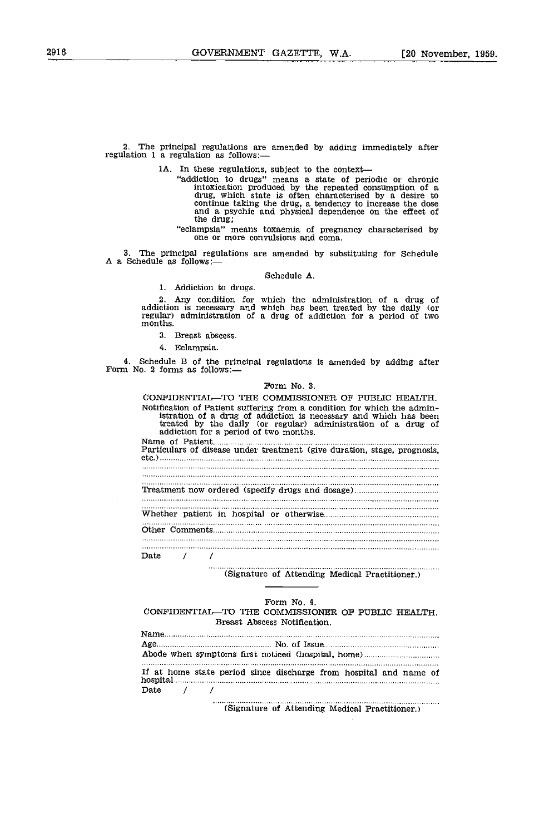2. The principal regulations are amended by adding immediately after regulation 1 a regulation as follows: $-$ 

1A. In these regulations, subject to the context—<br>"addiction to drugs" means a state of periodic or chronic intoxication produced by the repeated consumption of a drug, which state is often characterised by a desire to continue taking the thug, a tendency to increase the dose and a psychic and physical dependence on the effect of the drug;

"eclampsia" means toxaemia of pregnancy characterised by one or more convulsions and coma.

3. The principal regulations are amended by substituting for Schedule A a Schedule as follows:-

#### Schedule A.

1. Addiction to drugs.

Any condition for which the administration of a drug of addiction is necessary and which has been treated by the daily (or regular) administration of a drug of addiction for a period of two months.

- Breast abscess.
- 4 Eclampsia.

4. Schedule B of the principal regulations is amended by adding after Form No. 2 forms as follows:

#### Form No. 3.

CONFIDENTIAL-TO THE COMMISSIONER OF PUBLIC HEALTH. Notification of Patient suffering from a condition for which the admin-<br>istration of a drug of addiction is necessary and which has been<br>treated by the daily (or regular) administration of a drug of<br>addiction for a period Name of Patient Particulars of disease under treatment (give duration, stage, prognosis, etc.) . . . . . . . . . . . . . . . . . Treatment now ordered (specify drugs and dosage) Whether patient in hospital or otherwise Other Comments Date / / . . . . .

## (Signature of Attending Medical Practitioner.)

#### Form No. 4.

### CONFIDENTIAL-TO THE COMMISSIONER OF PUBLIC HEALTH. Breast Abscess Notification.

|          |  | If at home state period since discharge from hospital and name of |  |  |  |
|----------|--|-------------------------------------------------------------------|--|--|--|
| Date / / |  |                                                                   |  |  |  |

(Signature of Attending Medical Practitioner.)